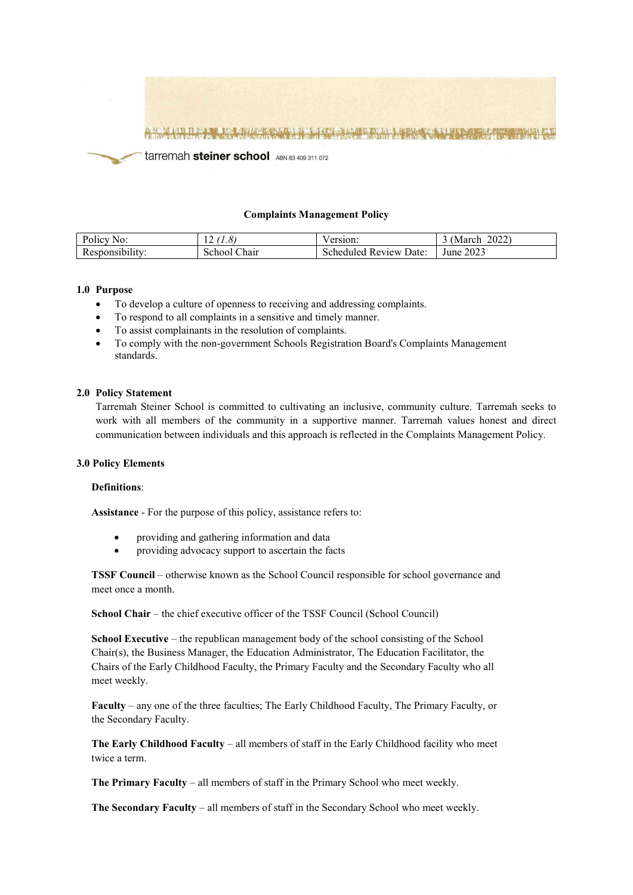

### **Complaints Management Policy**

| Policy No:                  | 1.0             | ersion.                      | 2022<br>(March) |
|-----------------------------|-----------------|------------------------------|-----------------|
| $\cdots$<br>Responsibility: | School<br>∠hair | Review<br>Scheduled<br>Date: | 2023<br>June    |

### **1.0 Purpose**

- To develop a culture of openness to receiving and addressing complaints.
- To respond to all complaints in a sensitive and timely manner.
- To assist complainants in the resolution of complaints.
- To comply with the non-government Schools Registration Board's Complaints Management standards.

### **2.0 Policy Statement**

Tarremah Steiner School is committed to cultivating an inclusive, community culture. Tarremah seeks to work with all members of the community in a supportive manner. Tarremah values honest and direct communication between individuals and this approach is reflected in the Complaints Management Policy.

#### **3.0 Policy Elements**

#### **Definitions**:

**Assistance** - For the purpose of this policy, assistance refers to:

- providing and gathering information and data
- providing advocacy support to ascertain the facts

**TSSF Council** – otherwise known as the School Council responsible for school governance and meet once a month.

**School Chair** – the chief executive officer of the TSSF Council (School Council)

**School Executive** – the republican management body of the school consisting of the School Chair(s), the Business Manager, the Education Administrator, The Education Facilitator, the Chairs of the Early Childhood Faculty, the Primary Faculty and the Secondary Faculty who all meet weekly.

**Faculty** – any one of the three faculties; The Early Childhood Faculty, The Primary Faculty, or the Secondary Faculty.

**The Early Childhood Faculty** – all members of staff in the Early Childhood facility who meet twice a term.

**The Primary Faculty** – all members of staff in the Primary School who meet weekly.

**The Secondary Faculty** – all members of staff in the Secondary School who meet weekly.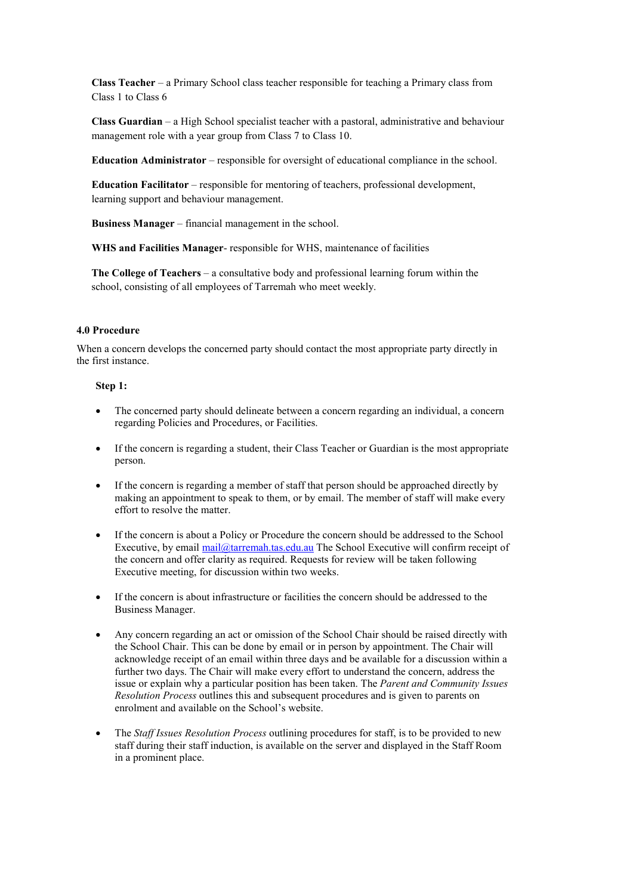**Class Teacher** – a Primary School class teacher responsible for teaching a Primary class from Class 1 to Class 6

**Class Guardian** – a High School specialist teacher with a pastoral, administrative and behaviour management role with a year group from Class 7 to Class 10.

**Education Administrator** – responsible for oversight of educational compliance in the school.

**Education Facilitator** – responsible for mentoring of teachers, professional development, learning support and behaviour management.

**Business Manager** – financial management in the school.

**WHS and Facilities Manager**- responsible for WHS, maintenance of facilities

**The College of Teachers** – a consultative body and professional learning forum within the school, consisting of all employees of Tarremah who meet weekly.

### **4.0 Procedure**

When a concern develops the concerned party should contact the most appropriate party directly in the first instance.

### **Step 1:**

- The concerned party should delineate between a concern regarding an individual, a concern regarding Policies and Procedures, or Facilities.
- If the concern is regarding a student, their Class Teacher or Guardian is the most appropriate person.
- If the concern is regarding a member of staff that person should be approached directly by making an appointment to speak to them, or by email. The member of staff will make every effort to resolve the matter.
- If the concern is about a Policy or Procedure the concern should be addressed to the School Executive, by email [mail@tarremah.tas.edu.au](mailto:mail@tarremah.tas.edu.au) The School Executive will confirm receipt of the concern and offer clarity as required. Requests for review will be taken following Executive meeting, for discussion within two weeks.
- If the concern is about infrastructure or facilities the concern should be addressed to the Business Manager.
- Any concern regarding an act or omission of the School Chair should be raised directly with the School Chair. This can be done by email or in person by appointment. The Chair will acknowledge receipt of an email within three days and be available for a discussion within a further two days. The Chair will make every effort to understand the concern, address the issue or explain why a particular position has been taken. The *Parent and Community Issues Resolution Process* outlines this and subsequent procedures and is given to parents on enrolment and available on the School's website.
- The *Staff Issues Resolution Process* outlining procedures for staff, is to be provided to new staff during their staff induction, is available on the server and displayed in the Staff Room in a prominent place.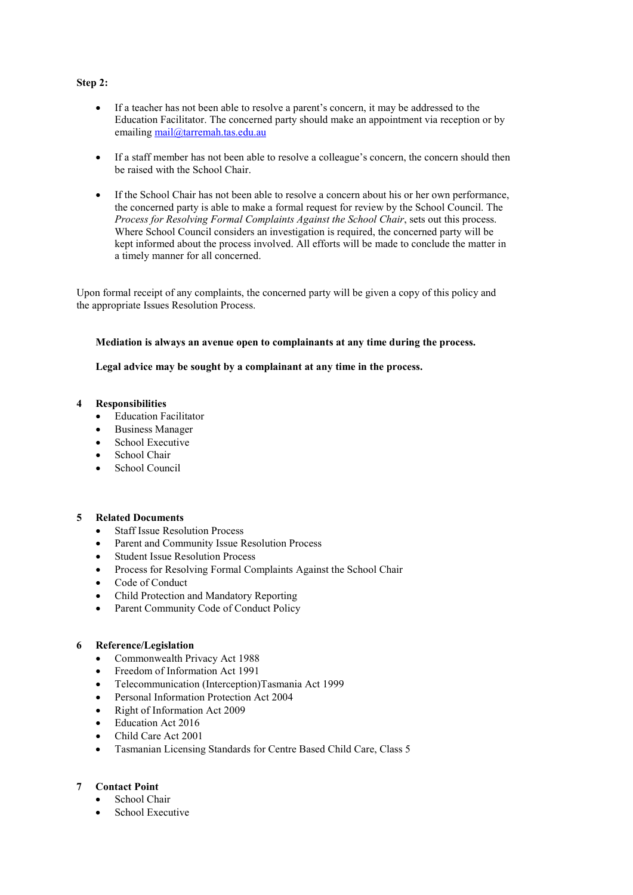### **Step 2:**

- If a teacher has not been able to resolve a parent's concern, it may be addressed to the Education Facilitator. The concerned party should make an appointment via reception or by emailing [mail@tarremah.tas.edu.au](mailto:mail@tarremah.tas.edu.au)
- If a staff member has not been able to resolve a colleague's concern, the concern should then be raised with the School Chair.
- If the School Chair has not been able to resolve a concern about his or her own performance, the concerned party is able to make a formal request for review by the School Council. The *Process for Resolving Formal Complaints Against the School Chair*, sets out this process. Where School Council considers an investigation is required, the concerned party will be kept informed about the process involved. All efforts will be made to conclude the matter in a timely manner for all concerned.

Upon formal receipt of any complaints, the concerned party will be given a copy of this policy and the appropriate Issues Resolution Process.

## **Mediation is always an avenue open to complainants at any time during the process.**

**Legal advice may be sought by a complainant at any time in the process.**

### **4 Responsibilities**

- **Education Facilitator**
- Business Manager
- School Executive
- School Chair
- School Council

### **5 Related Documents**

- **Staff Issue Resolution Process**
- Parent and Community Issue Resolution Process
- Student Issue Resolution Process
- Process for Resolving Formal Complaints Against the School Chair
- Code of Conduct
- Child Protection and Mandatory Reporting
- Parent [Community Code of Conduct Policy](https://www.tarremah.tas.edu.au/wp-content/uploads/2018/03/Parents-Rights-and-Responsibilities-Policy.pdf)

## **6 Reference/Legislation**

- Commonwealth Privacy Act 1988
- Freedom of Information Act 1991
- Telecommunication (Interception)Tasmania Act 1999
- Personal Information Protection Act 2004
- Right of Information Act 2009
- Education Act 2016
- Child Care Act 2001
- Tasmanian Licensing Standards for Centre Based Child Care, Class 5

# **7 Contact Point**

- School Chair
- School Executive